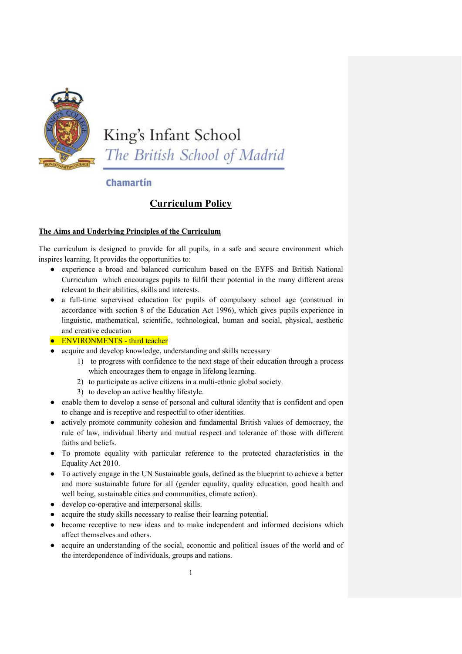

King's Infant School The British School of Madrid

Chamartín

# **Curriculum Policy**

# **The Aims and Underlying Principles of the Curriculum**

The curriculum is designed to provide for all pupils, in a safe and secure environment which inspires learning. It provides the opportunities to:

- experience a broad and balanced curriculum based on the EYFS and British National Curriculum which encourages pupils to fulfil their potential in the many different areas relevant to their abilities, skills and interests.
- a full-time supervised education for pupils of compulsory school age (construed in accordance with section 8 of the Education Act 1996), which gives pupils experience in linguistic, mathematical, scientific, technological, human and social, physical, aesthetic and creative education

# ● ENVIRONMENTS - third teacher

- acquire and develop knowledge, understanding and skills necessary
	- 1) to progress with confidence to the next stage of their education through a process which encourages them to engage in lifelong learning.
	- 2) to participate as active citizens in a multi-ethnic global society.
	- 3) to develop an active healthy lifestyle.
- enable them to develop a sense of personal and cultural identity that is confident and open to change and is receptive and respectful to other identities.
- actively promote community cohesion and fundamental British values of democracy, the rule of law, individual liberty and mutual respect and tolerance of those with different faiths and beliefs.
- To promote equality with particular reference to the protected characteristics in the Equality Act 2010.
- To actively engage in the UN Sustainable goals, defined as the blueprint to achieve a better and more sustainable future for all (gender equality, quality education, good health and well being, sustainable cities and communities, climate action).
- develop co-operative and interpersonal skills.
- acquire the study skills necessary to realise their learning potential.
- become receptive to new ideas and to make independent and informed decisions which affect themselves and others.
- acquire an understanding of the social, economic and political issues of the world and of the interdependence of individuals, groups and nations.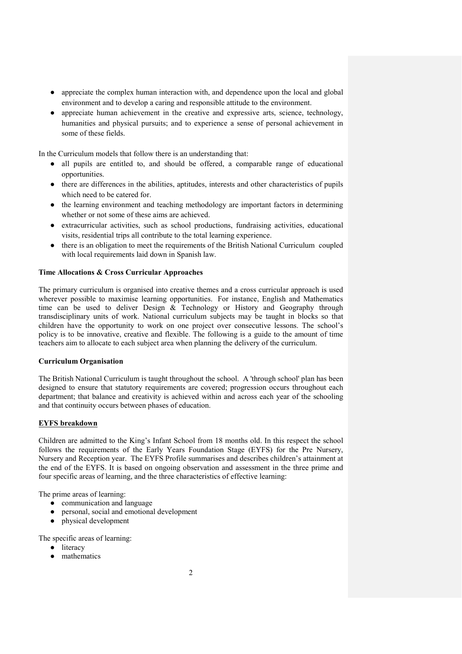- appreciate the complex human interaction with, and dependence upon the local and global environment and to develop a caring and responsible attitude to the environment.
- appreciate human achievement in the creative and expressive arts, science, technology, humanities and physical pursuits; and to experience a sense of personal achievement in some of these fields.

In the Curriculum models that follow there is an understanding that:

- all pupils are entitled to, and should be offered, a comparable range of educational opportunities.
- there are differences in the abilities, aptitudes, interests and other characteristics of pupils which need to be catered for.
- the learning environment and teaching methodology are important factors in determining whether or not some of these aims are achieved.
- extracurricular activities, such as school productions, fundraising activities, educational visits, residential trips all contribute to the total learning experience.
- there is an obligation to meet the requirements of the British National Curriculum coupled with local requirements laid down in Spanish law.

## **Time Allocations & Cross Curricular Approaches**

The primary curriculum is organised into creative themes and a cross curricular approach is used wherever possible to maximise learning opportunities. For instance, English and Mathematics time can be used to deliver Design & Technology or History and Geography through transdisciplinary units of work. National curriculum subjects may be taught in blocks so that children have the opportunity to work on one project over consecutive lessons. The school's policy is to be innovative, creative and flexible. The following is a guide to the amount of time teachers aim to allocate to each subject area when planning the delivery of the curriculum.

#### **Curriculum Organisation**

The British National Curriculum is taught throughout the school. A 'through school' plan has been designed to ensure that statutory requirements are covered; progression occurs throughout each department; that balance and creativity is achieved within and across each year of the schooling and that continuity occurs between phases of education.

# **EYFS breakdown**

Children are admitted to the King's Infant School from 18 months old. In this respect the school follows the requirements of the Early Years Foundation Stage (EYFS) for the Pre Nursery, Nursery and Reception year. The EYFS Profile summarises and describes children's attainment at the end of the EYFS. It is based on ongoing observation and assessment in the three prime and four specific areas of learning, and the three characteristics of effective learning:

The prime areas of learning:

- communication and language
- personal, social and emotional development
- physical development

The specific areas of learning:

- literacy
- mathematics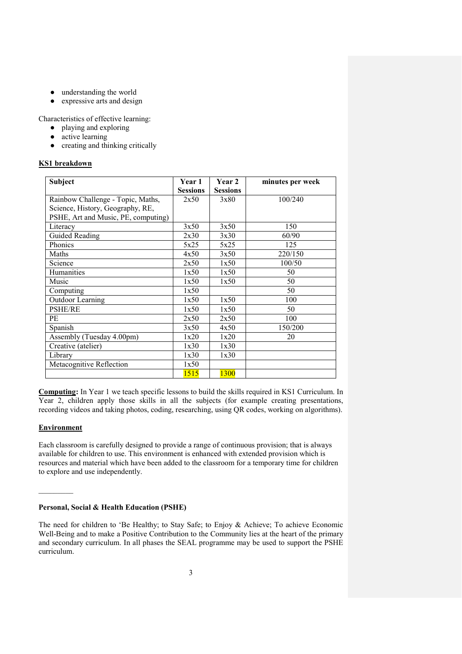- understanding the world
- expressive arts and design

Characteristics of effective learning:

- playing and exploring
- active learning
- creating and thinking critically

## **KS1 breakdown**

| <b>Subject</b>                      | <b>Year 1</b>   | Year 2          | minutes per week |
|-------------------------------------|-----------------|-----------------|------------------|
|                                     | <b>Sessions</b> | <b>Sessions</b> |                  |
| Rainbow Challenge - Topic, Maths,   | 2x50            | 3x80            | 100/240          |
| Science, History, Geography, RE,    |                 |                 |                  |
| PSHE, Art and Music, PE, computing) |                 |                 |                  |
| Literacy                            | 3x50            | 3x50            | 150              |
| <b>Guided Reading</b>               | 2x30            | 3x30            | 60/90            |
| Phonics                             | 5x25            | 5x25            | 125              |
| Maths                               | 4x50            | 3x50            | 220/150          |
| Science                             | 2x50            | 1x50            | 100/50           |
| Humanities                          | 1x50            | 1x50            | 50               |
| Music                               | 1x50            | 1x50            | 50               |
| Computing                           | 1x50            |                 | 50               |
| Outdoor Learning                    | 1x50            | 1x50            | 100              |
| <b>PSHE/RE</b>                      | 1x50            | 1x50            | 50               |
| PE                                  | 2x50            | 2x50            | 100              |
| Spanish                             | 3x50            | 4x50            | 150/200          |
| Assembly (Tuesday 4.00pm)           | 1x20            | 1x20            | 20               |
| Creative (atelier)                  | 1x30            | 1x30            |                  |
| Library                             | 1x30            | 1x30            |                  |
| Metacognitive Reflection            | 1x50            |                 |                  |
|                                     | <b>1515</b>     | <b>1300</b>     |                  |

**Computing:** In Year 1 we teach specific lessons to build the skills required in KS1 Curriculum. In Year 2, children apply those skills in all the subjects (for example creating presentations, recording videos and taking photos, coding, researching, using QR codes, working on algorithms).

# **Environment**

 $\mathcal{L}$ 

Each classroom is carefully designed to provide a range of continuous provision; that is always available for children to use. This environment is enhanced with extended provision which is resources and material which have been added to the classroom for a temporary time for children to explore and use independently.

# **Personal, Social & Health Education (PSHE)**

The need for children to 'Be Healthy; to Stay Safe; to Enjoy & Achieve; To achieve Economic Well-Being and to make a Positive Contribution to the Community lies at the heart of the primary and secondary curriculum. In all phases the SEAL programme may be used to support the PSHE curriculum.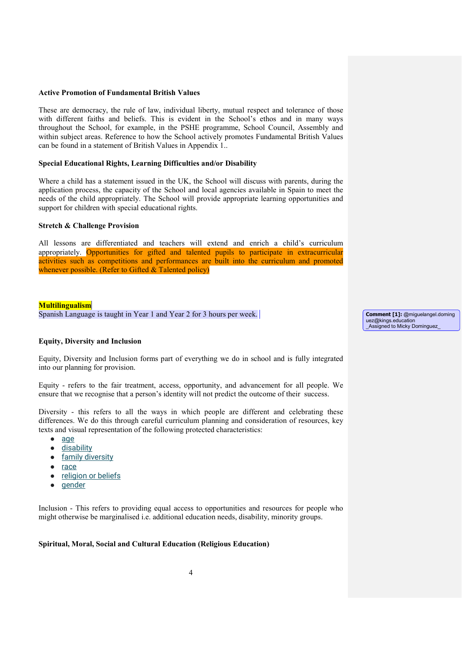#### **Active Promotion of Fundamental British Values**

These are democracy, the rule of law, individual liberty, mutual respect and tolerance of those with different faiths and beliefs. This is evident in the School's ethos and in many ways throughout the School, for example, in the PSHE programme, School Council, Assembly and within subject areas. Reference to how the School actively promotes Fundamental British Values can be found in a statement of British Values in Appendix 1..

#### **Special Educational Rights, Learning Difficulties and/or Disability**

Where a child has a statement issued in the UK, the School will discuss with parents, during the application process, the capacity of the School and local agencies available in Spain to meet the needs of the child appropriately. The School will provide appropriate learning opportunities and support for children with special educational rights.

#### **Stretch & Challenge Provision**

All lessons are differentiated and teachers will extend and enrich a child's curriculum appropriately. Opportunities for gifted and talented pupils to participate in extracurricular activities such as competitions and performances are built into the curriculum and promoted whenever possible. (Refer to Gifted & Talented policy)

#### **Multilingualism**

Spanish Language is taught in Year 1 and Year 2 for 3 hours per week.

#### **Equity, Diversity and Inclusion**

Equity, Diversity and Inclusion forms part of everything we do in school and is fully integrated into our planning for provision.

Equity - refers to the fair treatment, access, opportunity, and advancement for all people. We ensure that we recognise that a person's identity will not predict the outcome of their success.

Diversity - this refers to all the ways in which people are different and celebrating these differences. We do this through careful curriculum planning and consideration of resources, key texts and visual representation of the following protected characteristics:

- [age](https://www.equalityhumanrights.com/en/advice-and-guidance/age-discrimination)
- [disability](https://www.equalityhumanrights.com/en/advice-and-guidance/disability-discrimination)
- family diversity
- [race](https://www.equalityhumanrights.com/en/advice-and-guidance/race-discrimination)
- [religion or beliefs](https://www.equalityhumanrights.com/en/advice-and-guidance/religion-or-belief-discrimination)
- gender

Inclusion - This refers to providing equal access to opportunities and resources for people who might otherwise be marginalised i.e. additional education needs, disability, minority groups.

#### **Spiritual, Moral, Social and Cultural Education (Religious Education)**

**Comment [1]:** @miguelangel.doming uez@kings.education \_Assigned to Micky Dominguez\_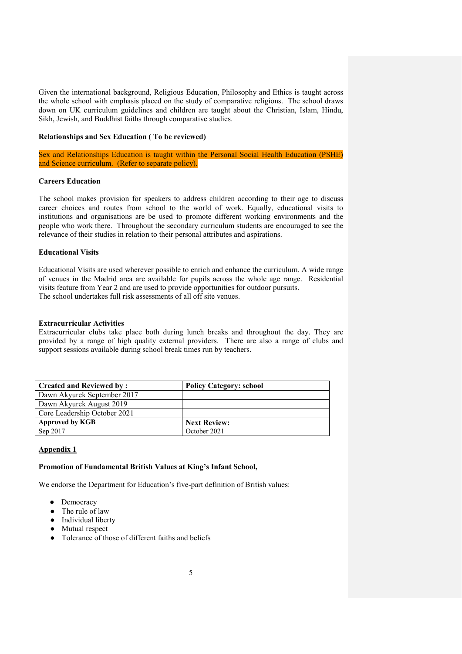Given the international background, Religious Education, Philosophy and Ethics is taught across the whole school with emphasis placed on the study of comparative religions. The school draws down on UK curriculum guidelines and children are taught about the Christian, Islam, Hindu, Sikh, Jewish, and Buddhist faiths through comparative studies.

#### **Relationships and Sex Education ( To be reviewed)**

Sex and Relationships Education is taught within the Personal Social Health Education (PSHE) and Science curriculum. (Refer to separate policy).

#### **Careers Education**

The school makes provision for speakers to address children according to their age to discuss career choices and routes from school to the world of work. Equally, educational visits to institutions and organisations are be used to promote different working environments and the people who work there. Throughout the secondary curriculum students are encouraged to see the relevance of their studies in relation to their personal attributes and aspirations.

#### **Educational Visits**

Educational Visits are used wherever possible to enrich and enhance the curriculum. A wide range of venues in the Madrid area are available for pupils across the whole age range. Residential visits feature from Year 2 and are used to provide opportunities for outdoor pursuits. The school undertakes full risk assessments of all off site venues.

#### **Extracurricular Activities**

Extracurricular clubs take place both during lunch breaks and throughout the day. They are provided by a range of high quality external providers. There are also a range of clubs and support sessions available during school break times run by teachers.

| <b>Created and Reviewed by:</b> | <b>Policy Category: school</b> |
|---------------------------------|--------------------------------|
| Dawn Akyurek September 2017     |                                |
| Dawn Akyurek August 2019        |                                |
| Core Leadership October 2021    |                                |
| <b>Approved by KGB</b>          | <b>Next Review:</b>            |
| Sep 2017                        | October 2021                   |

## **Appendix 1**

#### **Promotion of Fundamental British Values at King's Infant School,**

We endorse the Department for Education's five-part definition of British values:

- Democracy
- The rule of law
- Individual liberty
- Mutual respect
- Tolerance of those of different faiths and beliefs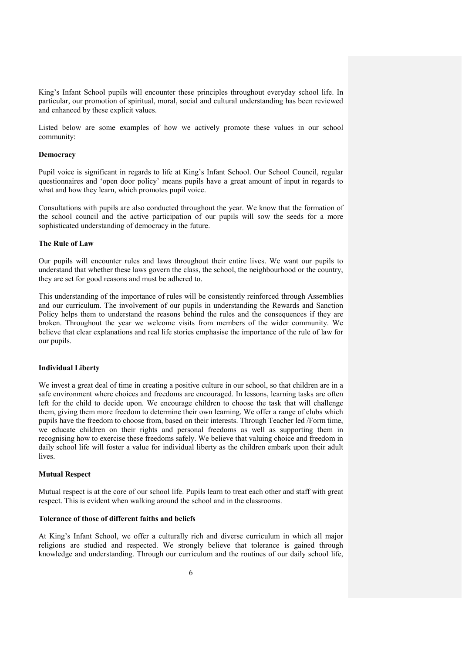King's Infant School pupils will encounter these principles throughout everyday school life. In particular, our promotion of spiritual, moral, social and cultural understanding has been reviewed and enhanced by these explicit values.

Listed below are some examples of how we actively promote these values in our school community:

#### **Democracy**

Pupil voice is significant in regards to life at King's Infant School. Our School Council, regular questionnaires and 'open door policy' means pupils have a great amount of input in regards to what and how they learn, which promotes pupil voice.

Consultations with pupils are also conducted throughout the year. We know that the formation of the school council and the active participation of our pupils will sow the seeds for a more sophisticated understanding of democracy in the future.

## **The Rule of Law**

Our pupils will encounter rules and laws throughout their entire lives. We want our pupils to understand that whether these laws govern the class, the school, the neighbourhood or the country, they are set for good reasons and must be adhered to.

This understanding of the importance of rules will be consistently reinforced through Assemblies and our curriculum. The involvement of our pupils in understanding the Rewards and Sanction Policy helps them to understand the reasons behind the rules and the consequences if they are broken. Throughout the year we welcome visits from members of the wider community. We believe that clear explanations and real life stories emphasise the importance of the rule of law for our pupils.

#### **Individual Liberty**

We invest a great deal of time in creating a positive culture in our school, so that children are in a safe environment where choices and freedoms are encouraged. In lessons, learning tasks are often left for the child to decide upon. We encourage children to choose the task that will challenge them, giving them more freedom to determine their own learning. We offer a range of clubs which pupils have the freedom to choose from, based on their interests. Through Teacher led /Form time, we educate children on their rights and personal freedoms as well as supporting them in recognising how to exercise these freedoms safely. We believe that valuing choice and freedom in daily school life will foster a value for individual liberty as the children embark upon their adult lives.

#### **Mutual Respect**

Mutual respect is at the core of our school life. Pupils learn to treat each other and staff with great respect. This is evident when walking around the school and in the classrooms.

#### **Tolerance of those of different faiths and beliefs**

At King's Infant School, we offer a culturally rich and diverse curriculum in which all major religions are studied and respected. We strongly believe that tolerance is gained through knowledge and understanding. Through our curriculum and the routines of our daily school life,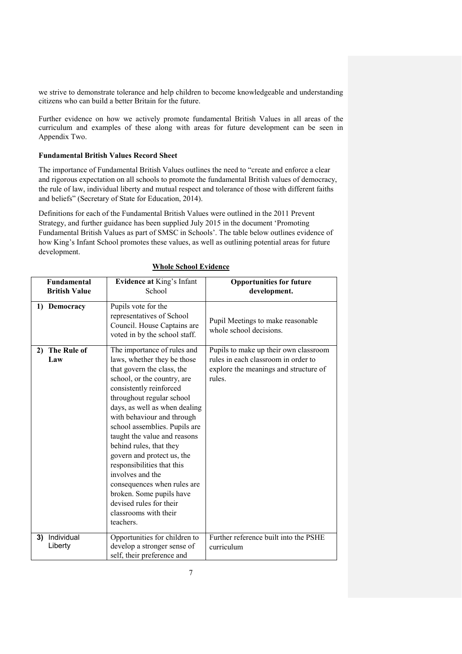we strive to demonstrate tolerance and help children to become knowledgeable and understanding citizens who can build a better Britain for the future.

Further evidence on how we actively promote fundamental British Values in all areas of the curriculum and examples of these along with areas for future development can be seen in Appendix Two.

#### **Fundamental British Values Record Sheet**

The importance of Fundamental British Values outlines the need to "create and enforce a clear and rigorous expectation on all schools to promote the fundamental British values of democracy, the rule of law, individual liberty and mutual respect and tolerance of those with different faiths and beliefs" (Secretary of State for Education, 2014).

Definitions for each of the Fundamental British Values were outlined in the 2011 Prevent Strategy, and further guidance has been supplied July 2015 in the document 'Promoting Fundamental British Values as part of SMSC in Schools'. The table below outlines evidence of how King's Infant School promotes these values, as well as outlining potential areas for future development.

| <b>Fundamental</b>       | <b>Evidence at King's Infant</b>                                                                                                                                                                                                                                                                                                                                                                                                                                                                                                                       | <b>Opportunities for future</b>                                                                                                 |
|--------------------------|--------------------------------------------------------------------------------------------------------------------------------------------------------------------------------------------------------------------------------------------------------------------------------------------------------------------------------------------------------------------------------------------------------------------------------------------------------------------------------------------------------------------------------------------------------|---------------------------------------------------------------------------------------------------------------------------------|
| <b>British Value</b>     | School                                                                                                                                                                                                                                                                                                                                                                                                                                                                                                                                                 | development.                                                                                                                    |
| 1) Democracy             | Pupils vote for the<br>representatives of School<br>Council. House Captains are<br>voted in by the school staff.                                                                                                                                                                                                                                                                                                                                                                                                                                       | Pupil Meetings to make reasonable<br>whole school decisions.                                                                    |
| 2) The Rule of<br>Law    | The importance of rules and<br>laws, whether they be those<br>that govern the class, the<br>school, or the country, are<br>consistently reinforced<br>throughout regular school<br>days, as well as when dealing<br>with behaviour and through<br>school assemblies. Pupils are<br>taught the value and reasons<br>behind rules, that they<br>govern and protect us, the<br>responsibilities that this<br>involves and the<br>consequences when rules are<br>broken. Some pupils have<br>devised rules for their<br>classrooms with their<br>teachers. | Pupils to make up their own classroom<br>rules in each classroom in order to<br>explore the meanings and structure of<br>rules. |
| 3) Individual<br>Liberty | Opportunities for children to<br>develop a stronger sense of<br>self, their preference and                                                                                                                                                                                                                                                                                                                                                                                                                                                             | Further reference built into the PSHE<br>curriculum                                                                             |

#### **Whole School Evidence**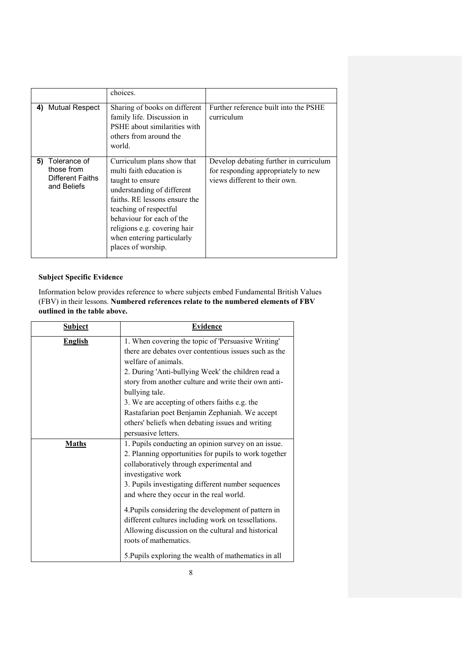|                                                                            | choices.                                                                                                                                                                                                                                                                             |                                                                                                                |
|----------------------------------------------------------------------------|--------------------------------------------------------------------------------------------------------------------------------------------------------------------------------------------------------------------------------------------------------------------------------------|----------------------------------------------------------------------------------------------------------------|
| 4) Mutual Respect                                                          | Sharing of books on different<br>family life. Discussion in<br>PSHE about similarities with<br>others from around the<br>world.                                                                                                                                                      | Further reference built into the PSHE<br>curriculum                                                            |
| Tolerance of<br>5)<br>those from<br><b>Different Faiths</b><br>and Beliefs | Curriculum plans show that<br>multi faith education is<br>taught to ensure<br>understanding of different<br>faiths. RE lessons ensure the<br>teaching of respectful<br>behaviour for each of the<br>religions e.g. covering hair<br>when entering particularly<br>places of worship. | Develop debating further in curriculum<br>for responding appropriately to new<br>views different to their own. |

# **Subject Specific Evidence**

Information below provides reference to where subjects embed Fundamental British Values (FBV) in their lessons. **Numbered references relate to the numbered elements of FBV outlined in the table above.** 

| <b>Subject</b> | <b>Evidence</b>                                       |
|----------------|-------------------------------------------------------|
| <b>English</b> | 1. When covering the topic of 'Persuasive Writing'    |
|                | there are debates over contentious issues such as the |
|                | welfare of animals.                                   |
|                | 2. During 'Anti-bullying Week' the children read a    |
|                | story from another culture and write their own anti-  |
|                | bullying tale.                                        |
|                | 3. We are accepting of others faiths e.g. the         |
|                | Rastafarian poet Benjamin Zephaniah. We accept        |
|                | others' beliefs when debating issues and writing      |
|                | persuasive letters.                                   |
| <b>Maths</b>   | 1. Pupils conducting an opinion survey on an issue.   |
|                | 2. Planning opportunities for pupils to work together |
|                | collaboratively through experimental and              |
|                | investigative work                                    |
|                | 3. Pupils investigating different number sequences    |
|                | and where they occur in the real world.               |
|                | 4. Pupils considering the development of pattern in   |
|                | different cultures including work on tessellations.   |
|                | Allowing discussion on the cultural and historical    |
|                | roots of mathematics.                                 |
|                | 5. Pupils exploring the wealth of mathematics in all  |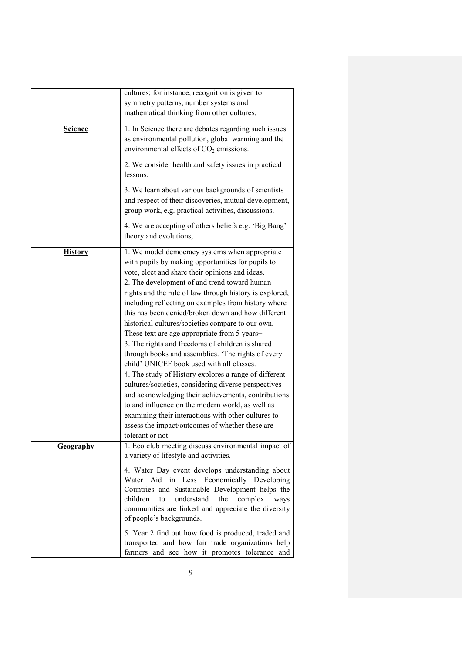|                  | cultures; for instance, recognition is given to<br>symmetry patterns, number systems and<br>mathematical thinking from other cultures.                                                                                                                                                                                                                                                                                                                                                                                                                                                                                                                                                                                                                                                                                                                                                                                                                                                               |
|------------------|------------------------------------------------------------------------------------------------------------------------------------------------------------------------------------------------------------------------------------------------------------------------------------------------------------------------------------------------------------------------------------------------------------------------------------------------------------------------------------------------------------------------------------------------------------------------------------------------------------------------------------------------------------------------------------------------------------------------------------------------------------------------------------------------------------------------------------------------------------------------------------------------------------------------------------------------------------------------------------------------------|
| <b>Science</b>   | 1. In Science there are debates regarding such issues<br>as environmental pollution, global warming and the<br>environmental effects of CO <sub>2</sub> emissions.                                                                                                                                                                                                                                                                                                                                                                                                                                                                                                                                                                                                                                                                                                                                                                                                                                   |
|                  | 2. We consider health and safety issues in practical<br>lessons.                                                                                                                                                                                                                                                                                                                                                                                                                                                                                                                                                                                                                                                                                                                                                                                                                                                                                                                                     |
|                  | 3. We learn about various backgrounds of scientists<br>and respect of their discoveries, mutual development,<br>group work, e.g. practical activities, discussions.                                                                                                                                                                                                                                                                                                                                                                                                                                                                                                                                                                                                                                                                                                                                                                                                                                  |
|                  | 4. We are accepting of others beliefs e.g. 'Big Bang'<br>theory and evolutions,                                                                                                                                                                                                                                                                                                                                                                                                                                                                                                                                                                                                                                                                                                                                                                                                                                                                                                                      |
| <b>History</b>   | 1. We model democracy systems when appropriate<br>with pupils by making opportunities for pupils to<br>vote, elect and share their opinions and ideas.<br>2. The development of and trend toward human<br>rights and the rule of law through history is explored,<br>including reflecting on examples from history where<br>this has been denied/broken down and how different<br>historical cultures/societies compare to our own.<br>These text are age appropriate from 5 years+<br>3. The rights and freedoms of children is shared<br>through books and assemblies. 'The rights of every<br>child' UNICEF book used with all classes.<br>4. The study of History explores a range of different<br>cultures/societies, considering diverse perspectives<br>and acknowledging their achievements, contributions<br>to and influence on the modern world, as well as<br>examining their interactions with other cultures to<br>assess the impact/outcomes of whether these are<br>tolerant or not. |
| <u>Geography</u> | 1. Eco club meeting discuss environmental impact of<br>a variety of lifestyle and activities.<br>4. Water Day event develops understanding about<br>Water Aid in Less Economically Developing<br>Countries and Sustainable Development helps the<br>children<br>understand<br>the<br>complex<br>to<br>ways<br>communities are linked and appreciate the diversity<br>of people's backgrounds.                                                                                                                                                                                                                                                                                                                                                                                                                                                                                                                                                                                                        |
|                  | 5. Year 2 find out how food is produced, traded and<br>transported and how fair trade organizations help<br>farmers and see how it promotes tolerance and                                                                                                                                                                                                                                                                                                                                                                                                                                                                                                                                                                                                                                                                                                                                                                                                                                            |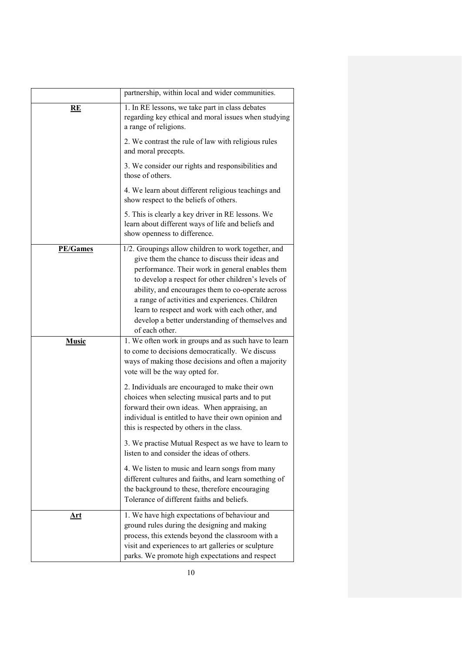|                 | partnership, within local and wider communities.                                                                                                                                                                                                                                                                                                                                                                                                 |
|-----------------|--------------------------------------------------------------------------------------------------------------------------------------------------------------------------------------------------------------------------------------------------------------------------------------------------------------------------------------------------------------------------------------------------------------------------------------------------|
| RE              | 1. In RE lessons, we take part in class debates<br>regarding key ethical and moral issues when studying<br>a range of religions.                                                                                                                                                                                                                                                                                                                 |
|                 | 2. We contrast the rule of law with religious rules<br>and moral precepts.                                                                                                                                                                                                                                                                                                                                                                       |
|                 | 3. We consider our rights and responsibilities and<br>those of others.                                                                                                                                                                                                                                                                                                                                                                           |
|                 | 4. We learn about different religious teachings and<br>show respect to the beliefs of others.                                                                                                                                                                                                                                                                                                                                                    |
|                 | 5. This is clearly a key driver in RE lessons. We<br>learn about different ways of life and beliefs and<br>show openness to difference.                                                                                                                                                                                                                                                                                                          |
| <b>PE/Games</b> | 1/2. Groupings allow children to work together, and<br>give them the chance to discuss their ideas and<br>performance. Their work in general enables them<br>to develop a respect for other children's levels of<br>ability, and encourages them to co-operate across<br>a range of activities and experiences. Children<br>learn to respect and work with each other, and<br>develop a better understanding of themselves and<br>of each other. |
| <b>Music</b>    | 1. We often work in groups and as such have to learn<br>to come to decisions democratically. We discuss<br>ways of making those decisions and often a majority<br>vote will be the way opted for.                                                                                                                                                                                                                                                |
|                 | 2. Individuals are encouraged to make their own<br>choices when selecting musical parts and to put<br>forward their own ideas. When appraising, an<br>individual is entitled to have their own opinion and<br>this is respected by others in the class.                                                                                                                                                                                          |
|                 | 3. We practise Mutual Respect as we have to learn to<br>listen to and consider the ideas of others.                                                                                                                                                                                                                                                                                                                                              |
|                 | 4. We listen to music and learn songs from many<br>different cultures and faiths, and learn something of<br>the background to these, therefore encouraging<br>Tolerance of different faiths and beliefs.                                                                                                                                                                                                                                         |
| <u>Art</u>      | 1. We have high expectations of behaviour and<br>ground rules during the designing and making<br>process, this extends beyond the classroom with a<br>visit and experiences to art galleries or sculpture<br>parks. We promote high expectations and respect                                                                                                                                                                                     |